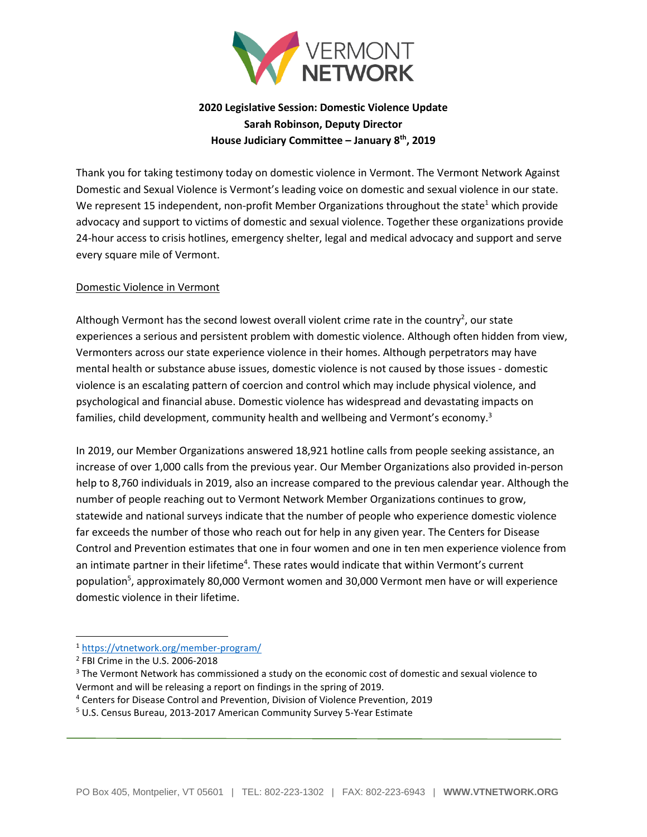

## **2020 Legislative Session: Domestic Violence Update Sarah Robinson, Deputy Director House Judiciary Committee – January 8th, 2019**

Thank you for taking testimony today on domestic violence in Vermont. The Vermont Network Against Domestic and Sexual Violence is Vermont's leading voice on domestic and sexual violence in our state. We represent 15 independent, non-profit Member Organizations throughout the state<sup>1</sup> which provide advocacy and support to victims of domestic and sexual violence. Together these organizations provide 24-hour access to crisis hotlines, emergency shelter, legal and medical advocacy and support and serve every square mile of Vermont.

## Domestic Violence in Vermont

Although Vermont has the second lowest overall violent crime rate in the country<sup>2</sup>, our state experiences a serious and persistent problem with domestic violence. Although often hidden from view, Vermonters across our state experience violence in their homes. Although perpetrators may have mental health or substance abuse issues, domestic violence is not caused by those issues - domestic violence is an escalating pattern of coercion and control which may include physical violence, and psychological and financial abuse. Domestic violence has widespread and devastating impacts on families, child development, community health and wellbeing and Vermont's economy.<sup>3</sup>

In 2019, our Member Organizations answered 18,921 hotline calls from people seeking assistance, an increase of over 1,000 calls from the previous year. Our Member Organizations also provided in-person help to 8,760 individuals in 2019, also an increase compared to the previous calendar year. Although the number of people reaching out to Vermont Network Member Organizations continues to grow, statewide and national surveys indicate that the number of people who experience domestic violence far exceeds the number of those who reach out for help in any given year. The Centers for Disease Control and Prevention estimates that one in four women and one in ten men experience violence from an intimate partner in their lifetime<sup>4</sup>. These rates would indicate that within Vermont's current population<sup>5</sup>, approximately 80,000 Vermont women and 30,000 Vermont men have or will experience domestic violence in their lifetime.

- <sup>3</sup> The Vermont Network has commissioned a study on the economic cost of domestic and sexual violence to Vermont and will be releasing a report on findings in the spring of 2019.
- <sup>4</sup> Centers for Disease Control and Prevention, Division of Violence Prevention, 2019

<sup>1</sup> <https://vtnetwork.org/member-program/>

<sup>2</sup> FBI Crime in the U.S. 2006-2018

<sup>5</sup> U.S. Census Bureau, 2013-2017 American Community Survey 5-Year Estimate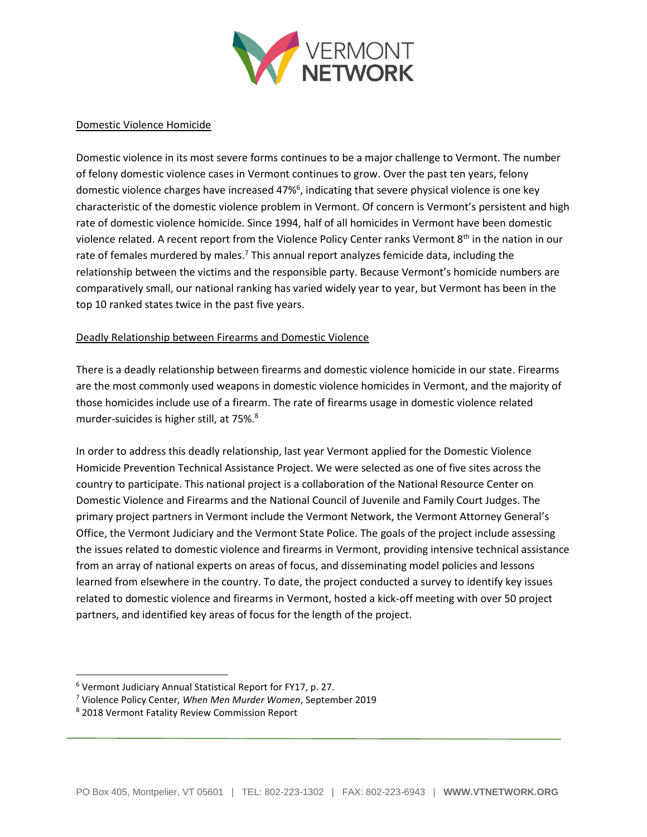

## Domestic Violence Homicide

Domestic violence in its most severe forms continues to be a major challenge to Vermont. The number of felony domestic violence cases in Vermont continues to grow. Over the past ten years, felony domestic violence charges have increased 47%<sup>6</sup>, indicating that severe physical violence is one key characteristic of the domestic violence problem in Vermont. Of concern is Vermont's persistent and high rate of domestic violence homicide. Since 1994, half of all homicides in Vermont have been domestic violence related. A recent report from the Violence Policy Center ranks Vermont 8<sup>th</sup> in the nation in our rate of females murdered by males.<sup>7</sup> This annual report analyzes femicide data, including the relationship between the victims and the responsible party. Because Vermont's homicide numbers are comparatively small, our national ranking has varied widely year to year, but Vermont has been in the top 10 ranked states twice in the past five years.

## Deadly Relationship between Firearms and Domestic Violence

There is a deadly relationship between firearms and domestic violence homicide in our state. Firearms are the most commonly used weapons in domestic violence homicides in Vermont, and the majority of those homicides include use of a firearm. The rate of firearms usage in domestic violence related murder-suicides is higher still, at 75%.<sup>8</sup>

In order to address this deadly relationship, last year Vermont applied for the Domestic Violence Homicide Prevention Technical Assistance Project. We were selected as one of five sites across the country to participate. This national project is a collaboration of the National Resource Center on Domestic Violence and Firearms and the National Council of Juvenile and Family Court Judges. The primary project partners in Vermont include the Vermont Network, the Vermont Attorney General's Office, the Vermont Judiciary and the Vermont State Police. The goals of the project include assessing the issues related to domestic violence and firearms in Vermont, providing intensive technical assistance from an array of national experts on areas of focus, and disseminating model policies and lessons learned from elsewhere in the country. To date, the project conducted a survey to identify key issues related to domestic violence and firearms in Vermont, hosted a kick-off meeting with over 50 project partners, and identified key areas of focus for the length of the project.

<sup>6</sup> Vermont Judiciary Annual Statistical Report for FY17, p. 27.

<sup>7</sup> Violence Policy Center, *When Men Murder Women*, September 2019

<sup>8</sup> 2018 Vermont Fatality Review Commission Report